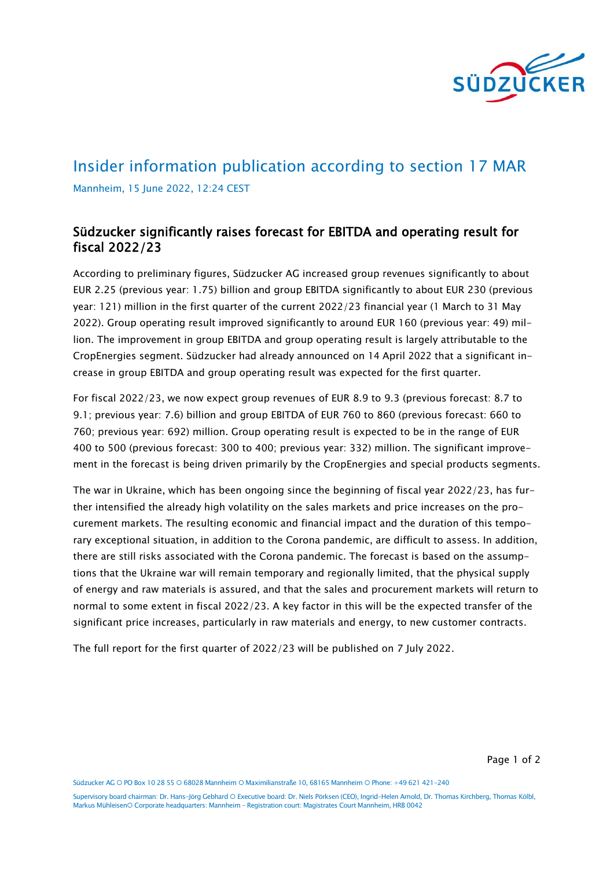

## Insider information publication according to section 17 MAR Mannheim, 15 June 2022, 12:24 CEST

## Südzucker significantly raises forecast for EBITDA and operating result for fiscal 2022/23

According to preliminary figures, Südzucker AG increased group revenues significantly to about EUR 2.25 (previous year: 1.75) billion and group EBITDA significantly to about EUR 230 (previous year: 121) million in the first quarter of the current 2022/23 financial year (1 March to 31 May 2022). Group operating result improved significantly to around EUR 160 (previous year: 49) million. The improvement in group EBITDA and group operating result is largely attributable to the CropEnergies segment. Südzucker had already announced on 14 April 2022 that a significant increase in group EBITDA and group operating result was expected for the first quarter.

For fiscal 2022/23, we now expect group revenues of EUR 8.9 to 9.3 (previous forecast: 8.7 to 9.1; previous year: 7.6) billion and group EBITDA of EUR 760 to 860 (previous forecast: 660 to 760; previous year: 692) million. Group operating result is expected to be in the range of EUR 400 to 500 (previous forecast: 300 to 400; previous year: 332) million. The significant improvement in the forecast is being driven primarily by the CropEnergies and special products segments.

The war in Ukraine, which has been ongoing since the beginning of fiscal year 2022/23, has further intensified the already high volatility on the sales markets and price increases on the procurement markets. The resulting economic and financial impact and the duration of this temporary exceptional situation, in addition to the Corona pandemic, are difficult to assess. In addition, there are still risks associated with the Corona pandemic. The forecast is based on the assumptions that the Ukraine war will remain temporary and regionally limited, that the physical supply of energy and raw materials is assured, and that the sales and procurement markets will return to normal to some extent in fiscal 2022/23. A key factor in this will be the expected transfer of the significant price increases, particularly in raw materials and energy, to new customer contracts.

The full report for the first quarter of 2022/23 will be published on 7 July 2022.

Page 1 of 2

Südzucker AG O PO Box 10 28 55 O 68028 Mannheim O Maximilianstraße 10, 68165 Mannheim O Phone: +49 621 421-240

Supervisory board chairman: Dr. Hans-Jörg Gebhard Executive board: Dr. Niels Pörksen (CEO), Ingrid-Helen Arnold, Dr. Thomas Kirchberg, Thomas Kölbl, Markus MühleisenO Corporate headquarters: Mannheim - Registration court: Magistrates Court Mannheim, HRB 0042